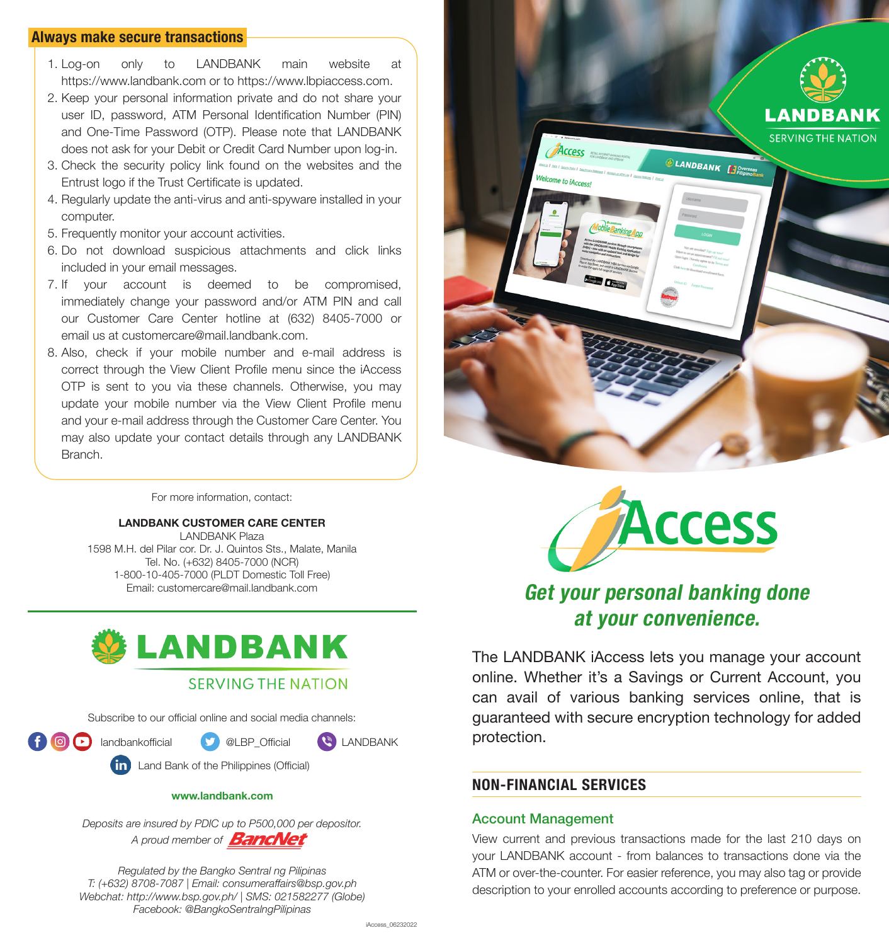### **Always make secure transactions**

- 1. Log-on only to LANDBANK main website at https://www.landbank.com or to https://www.lbpiaccess.com.
- 2. Keep your personal information private and do not share your user ID, password, ATM Personal Identification Number (PIN) and One-Time Password (OTP). Please note that LANDBANK does not ask for your Debit or Credit Card Number upon log-in.
- 3. Check the security policy link found on the websites and the Entrust logo if the Trust Certificate is updated.
- 4. Regularly update the anti-virus and anti-spyware installed in your computer.
- 5. Frequently monitor your account activities.
- 6. Do not download suspicious attachments and click links included in your email messages.
- 7. If your account is deemed to be compromised, immediately change your password and/or ATM PIN and call our Customer Care Center hotline at (632) 8405-7000 or email us at customercare@mail.landbank.com.
- 8. Also, check if your mobile number and e-mail address is correct through the View Client Profile menu since the iAccess OTP is sent to you via these channels. Otherwise, you may update your mobile number via the View Client Profile menu and your e-mail address through the Customer Care Center. You may also update your contact details through any LANDBANK Branch.

For more information, contact:

#### **LANDBANK CUSTOMER CARE CENTER**

LANDBANK Plaza 1598 M.H. del Pilar cor. Dr. J. Quintos Sts., Malate, Manila Tel. No. (+632) 8405-7000 (NCR) 1-800-10-405-7000 (PLDT Domestic Toll Free)<br>Email: customercare@mail.landbank.com



Subscribe to our official online and social media channels:

**f**  $\Box$  landbankofficial  $\Box$  @LBP Official  $\Box$  LANDBANK

Land Bank of the Philippines (Official)

#### **www.landbank.com**

*Deposits are insured by PDIC up to P500,000 per depositor.* A proud member of **BancNet** 

*Regulated by the Bangko Sentral ng Pilipinas T: (+632) 8708-7087 | Email: consumeraffairs@bsp.gov.ph Webchat: http://www.bsp.gov.ph/ | SMS: 021582277 (Globe) Facebook: @BangkoSentralngPilipinas*





# **Get your personal banking done at your convenience.**

The LANDBANK iAccess lets you manage your account online. Whether it's a Savings or Current Account, you can avail of various banking services online, that is guaranteed with secure encryption technology for added protection.

# **NON-FINANCIAL SERVICES**

#### Account Management

View current and previous transactions made for the last 210 days on your LANDBANK account - from balances to transactions done via the ATM or over-the-counter. For easier reference, you may also tag or provide description to your enrolled accounts according to preference or purpose.